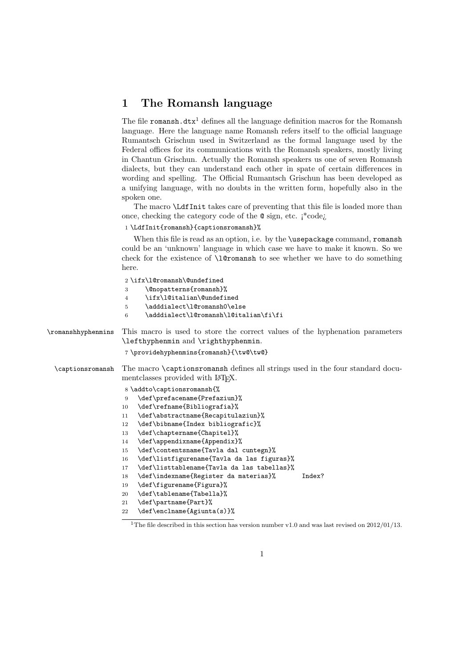## 1 The Romansh language

The file romansh.dtx<sup>1</sup> defines all the language definition macros for the Romansh language. Here the language name Romansh refers itself to the official language Rumantsch Grischun used in Switzerland as the formal language used by the Federal offices for its communications with the Romansh speakers, mostly living in Chantun Grischun. Actually the Romansh speakers us one of seven Romansh dialects, but they can understand each other in spate of certain differences in wording and spelling. The Official Rumantsch Grischun has been developed as a unifying language, with no doubts in the written form, hopefully also in the spoken one.

The macro \LdfInit takes care of preventing that this file is loaded more than once, checking the category code of the @ sign, etc. ¡\*code¿

1 \LdfInit{romansh}{captionsromansh}%

When this file is read as an option, i.e. by the \usepackage command, romansh could be an 'unknown' language in which case we have to make it known. So we check for the existence of \l@romansh to see whether we have to do something here.

|                    | 2\ifx\l@romansh\@undefined<br>\@nopatterns{romansh}%<br>3<br>\ifx\l@italian\@undefined<br>$\overline{4}$<br>\adddialect\l@romansh0\else<br>5<br>\adddialect\l@romansh\l@italian\fi\fi<br>6 |
|--------------------|--------------------------------------------------------------------------------------------------------------------------------------------------------------------------------------------|
| \romanshhyphenmins | This macro is used to store the correct values of the hyphenation parameters                                                                                                               |
|                    | \lefthyphenmin and \righthyphenmin.                                                                                                                                                        |
|                    | 7\providehyphenmins{romansh}{\tw@\tw@}                                                                                                                                                     |
| \captionsromansh   | The macro \captionsromansh defines all strings used in the four standard docu-<br>ment classes provided with L <sup>AT</sup> FX.                                                           |
|                    | 8 \addto\captionsromansh{%                                                                                                                                                                 |
|                    | \def\prefacename{Prefaziun}%<br>9                                                                                                                                                          |
|                    | \def\refname{Bibliografia}%<br>10                                                                                                                                                          |
|                    | \def\abstractname{Recapitulaziun}%<br>11                                                                                                                                                   |
|                    | \def\bibname{Index bibliografic}%<br>12                                                                                                                                                    |
|                    | \def\chaptername{Chapitel}%<br>13                                                                                                                                                          |
|                    | \def\appendixname{Appendix}%<br>14                                                                                                                                                         |
|                    | \def\contentsname{Tavla dal cuntegn}%<br>15                                                                                                                                                |
|                    | \def\listfigurename{Tavla da las figuras}%<br>16                                                                                                                                           |
|                    | \def\listtablename{Tavla da las tabellas}%<br>17                                                                                                                                           |
|                    | \def\indexname{Register da materias}%<br>Index?<br>18                                                                                                                                      |
|                    | \def\figurename{Figura}%<br>19                                                                                                                                                             |
|                    | \def\tablename{Tabella}%<br>20                                                                                                                                                             |
|                    | \def\partname{Part}%<br>21                                                                                                                                                                 |
|                    | \def\enclname{Agiunta(s)}%<br>22                                                                                                                                                           |
|                    |                                                                                                                                                                                            |

<sup>&</sup>lt;sup>1</sup>The file described in this section has version number v1.0 and was last revised on  $2012/01/13$ .